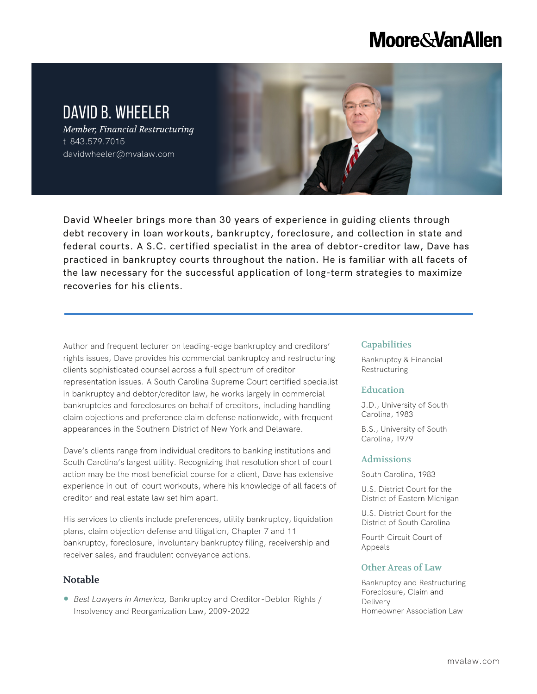# **Moore & Van Allen**

# DAVID B. WHEELER

*Member, Financial Restructuring* t 843.579.7015 davidwheeler@mvalaw.com

David Wheeler brings more than 30 years of experience in guiding clients through debt recovery in loan workouts, bankruptcy, foreclosure, and collection in state and federal courts. A S.C. certified specialist in the area of debtor-creditor law, Dave has practiced in bankruptcy courts throughout the nation. He is familiar with all facets of the law necessary for the successful application of long-term strategies to maximize recoveries for his clients.

Author and frequent lecturer on leading-edge bankruptcy and creditors' rights issues, Dave provides his commercial bankruptcy and restructuring clients sophisticated counsel across a full spectrum of creditor representation issues. A South Carolina Supreme Court certified specialist in bankruptcy and debtor/creditor law, he works largely in commercial bankruptcies and foreclosures on behalf of creditors, including handling claim objections and preference claim defense nationwide, with frequent appearances in the Southern District of New York and Delaware.

Dave's clients range from individual creditors to banking institutions and South Carolina's largest utility. Recognizing that resolution short of court action may be the most beneficial course for a client, Dave has extensive experience in out-of-court workouts, where his knowledge of all facets of creditor and real estate law set him apart.

His services to clients include preferences, utility bankruptcy, liquidation plans, claim objection defense and litigation, Chapter 7 and 11 bankruptcy, foreclosure, involuntary bankruptcy filing, receivership and receiver sales, and fraudulent conveyance actions.

## Notable

L

● *Best Lawyers in America*, Bankruptcy and Creditor-Debtor Rights / Insolvency and Reorganization Law, 2009-2022

#### Capabilities

Bankruptcy & Financial Restructuring

#### **Education**

J.D., University of South Carolina, 1983

B.S., University of South Carolina, 1979

#### Admissions

South Carolina, 1983

U.S. District Court for the District of Eastern Michigan

U.S. District Court for the District of South Carolina

Fourth Circuit Court of Appeals

### Other Areas of Law

Bankruptcy and Restructuring Foreclosure, Claim and Delivery Homeowner Association Law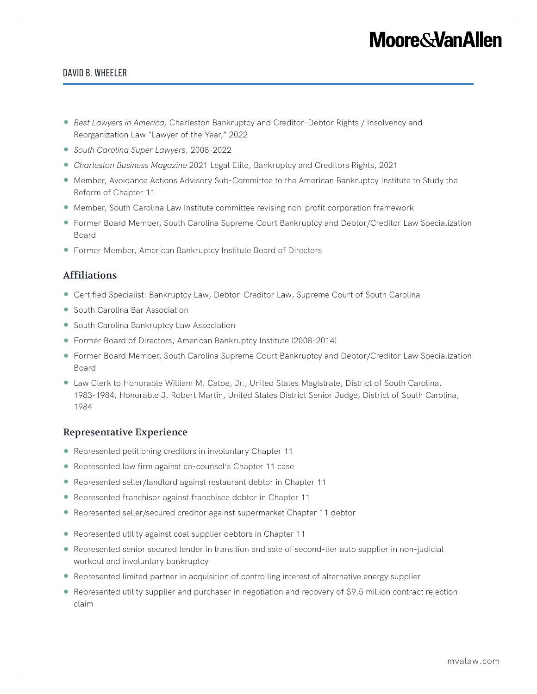# **Moore&VanAllen**

### David B. Wheeler

- *Best Lawyers in America, Charleston Bankruptcy and Creditor-Debtor Rights / Insolvency and* Reorganization Law "Lawyer of the Year," 2022
- *South Carolina Super Lawyers,* 2008-2022
- *Charleston Business Magazine* 2021 Legal Elite, Bankruptcy and Creditors Rights, 2021
- Member, Avoidance Actions Advisory Sub-Committee to the American Bankruptcy Institute to Study the Reform of Chapter 11
- Member, South Carolina Law Institute committee revising non-profit corporation framework
- Former Board Member, South Carolina Supreme Court Bankruptcy and Debtor/Creditor Law Specialization Board
- Former Member, American Bankruptcy Institute Board of Directors

### Affiliations

- Certified Specialist: Bankruptcy Law, Debtor-Creditor Law, Supreme Court of South Carolina
- South Carolina Bar Association
- South Carolina Bankruptcy Law Association
- Former Board of Directors, American Bankruptcy Institute (2008-2014)
- Former Board Member, South Carolina Supreme Court Bankruptcy and Debtor/Creditor Law Specialization Board
- Law Clerk to Honorable William M. Catoe, Jr., United States Magistrate, District of South Carolina, 1983-1984; Honorable J. Robert Martin, United States District Senior Judge, District of South Carolina, 1984

### Representative Experience

- Represented petitioning creditors in involuntary Chapter 11
- Represented law firm against co-counsel's Chapter 11 case
- Represented seller/landlord against restaurant debtor in Chapter 11
- Represented franchisor against franchisee debtor in Chapter 11
- Represented seller/secured creditor against supermarket Chapter 11 debtor
- Represented utility against coal supplier debtors in Chapter 11
- Represented senior secured lender in transition and sale of second-tier auto supplier in non-judicial workout and involuntary bankruptcy
- Represented limited partner in acquisition of controlling interest of alternative energy supplier
- Represented utility supplier and purchaser in negotiation and recovery of \$9.5 million contract rejection claim